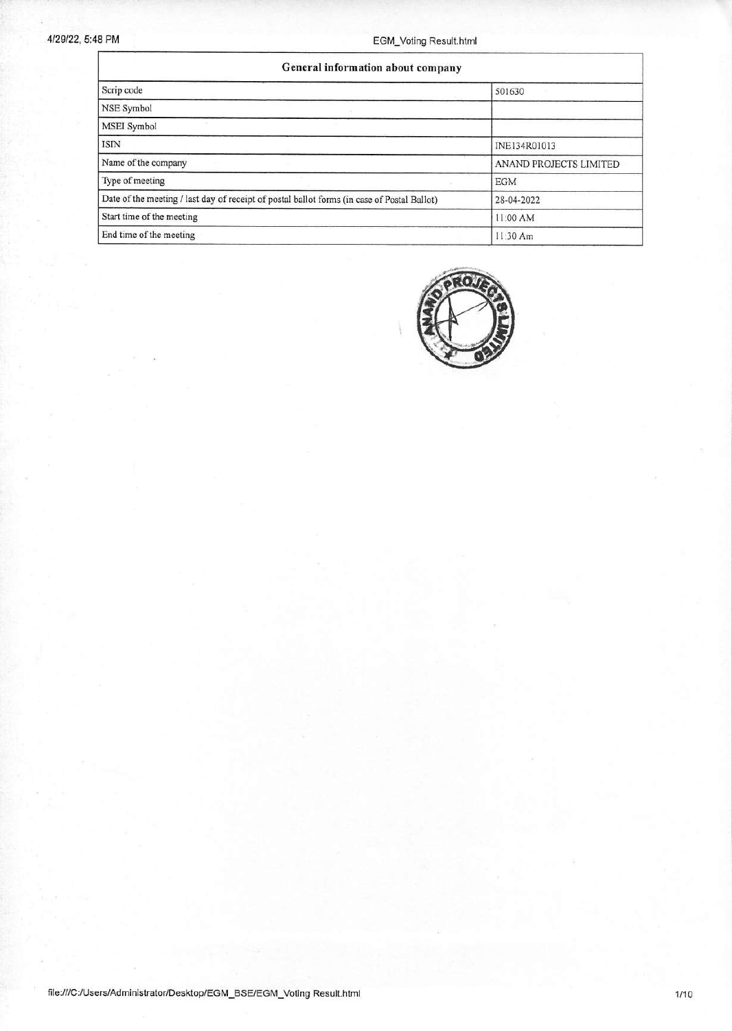'n

## 4/29/22, 5.48 PM EGM\_Voting Result.html

| General information about company                                                           |                        |  |  |  |  |
|---------------------------------------------------------------------------------------------|------------------------|--|--|--|--|
| Scrip code                                                                                  | 501630                 |  |  |  |  |
| NSE Symbol                                                                                  |                        |  |  |  |  |
| MSEI Symbol                                                                                 |                        |  |  |  |  |
| <b>ISIN</b>                                                                                 | INE134R01013           |  |  |  |  |
| Name of the company                                                                         | ANAND PROJECTS LIMITED |  |  |  |  |
| Type of meeting                                                                             | <b>EGM</b>             |  |  |  |  |
| Date of the meeting / last day of receipt of postal ballot forms (in case of Postal Ballot) | 28-04-2022             |  |  |  |  |
| Start time of the meeting                                                                   | 11:00 AM               |  |  |  |  |
| End time of the meeting                                                                     | 11:30 Am               |  |  |  |  |

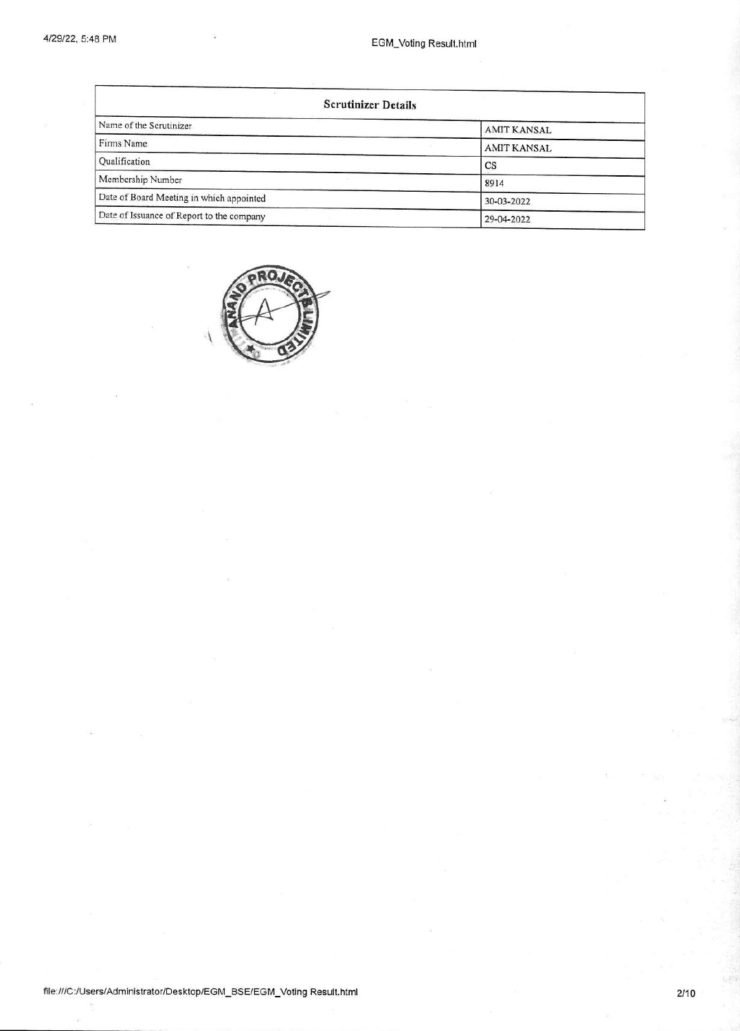| <b>Scrutinizer Details</b>                |                    |  |  |  |  |
|-------------------------------------------|--------------------|--|--|--|--|
| Name of the Scrutinizer                   | <b>AMIT KANSAL</b> |  |  |  |  |
| Firms Name                                | <b>AMIT KANSAL</b> |  |  |  |  |
| Qualification                             | CS                 |  |  |  |  |
| Membership Number                         | 8914               |  |  |  |  |
| Date of Board Meeting in which appointed  | 30-03-2022         |  |  |  |  |
| Date of Issuance of Report to the company | 29-04-2022         |  |  |  |  |

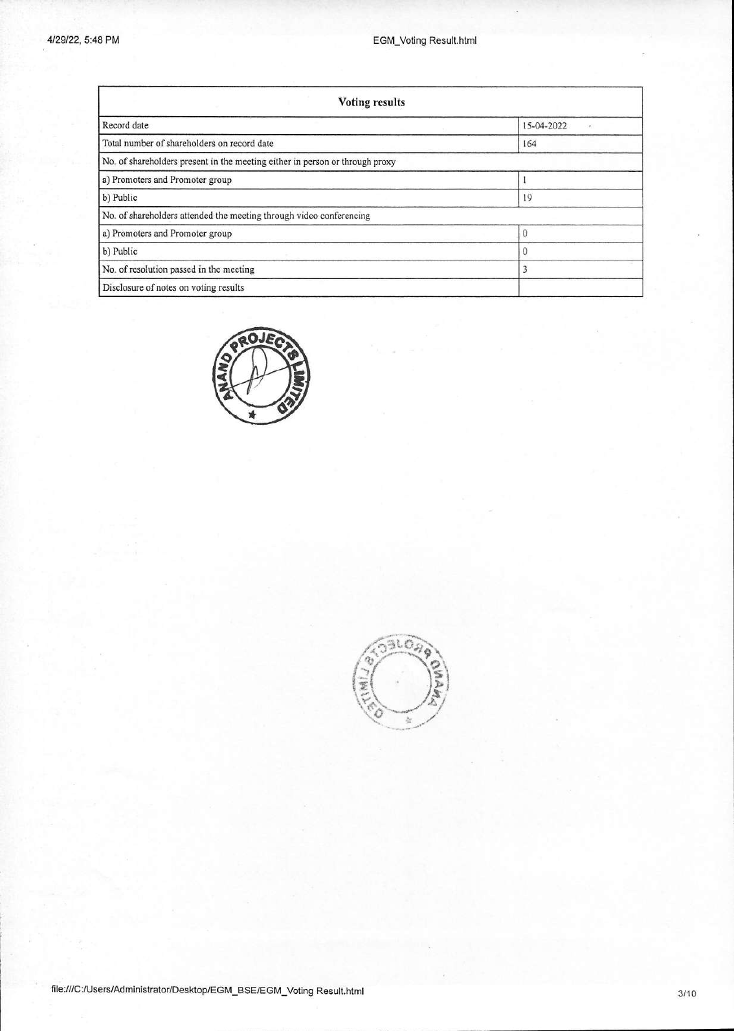| <b>Voting results</b>                                                        |            |  |  |  |  |
|------------------------------------------------------------------------------|------------|--|--|--|--|
| Record date                                                                  | 15-04-2022 |  |  |  |  |
| Total number of shareholders on record date                                  | 164        |  |  |  |  |
| No. of shareholders present in the meeting either in person or through proxy |            |  |  |  |  |
| a) Promoters and Promoter group                                              |            |  |  |  |  |
| b) Public                                                                    | 19         |  |  |  |  |
| No. of shareholders attended the meeting through video conferencing          |            |  |  |  |  |
| a) Promoters and Promoter group                                              | 0          |  |  |  |  |
| b) Public                                                                    |            |  |  |  |  |
| No. of resolution passed in the meeting                                      |            |  |  |  |  |
| Disclosure of notes on voting results                                        |            |  |  |  |  |



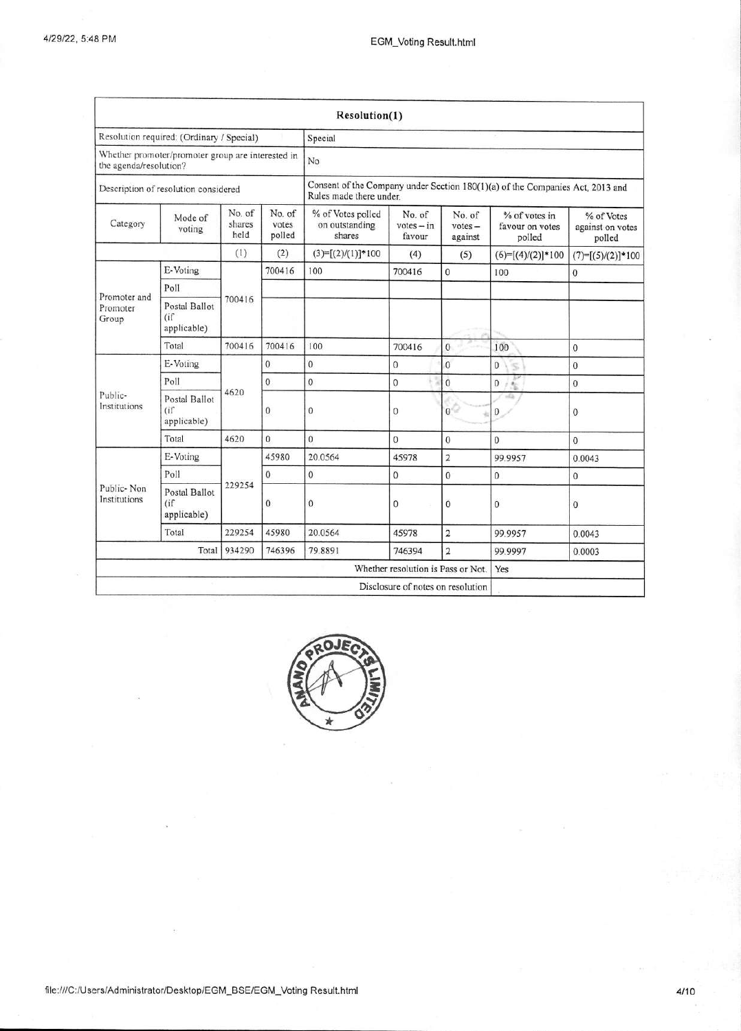|                                                                             |                                     |                                                                                                          |                           | Resolution(1)                                 |                                    |                                |                                            |                                          |
|-----------------------------------------------------------------------------|-------------------------------------|----------------------------------------------------------------------------------------------------------|---------------------------|-----------------------------------------------|------------------------------------|--------------------------------|--------------------------------------------|------------------------------------------|
| Resolution required: (Ordinary / Special)                                   |                                     |                                                                                                          | Special                   |                                               |                                    |                                |                                            |                                          |
| Whether promoter/promoter group are interested in<br>the agenda/resolution? |                                     | No                                                                                                       |                           |                                               |                                    |                                |                                            |                                          |
| Description of resolution considered                                        |                                     | Consent of the Company under Section 180(1)(a) of the Companies Act, 2013 and<br>Rules made there under. |                           |                                               |                                    |                                |                                            |                                          |
| Category                                                                    | Mode of<br>voting                   | No. of<br>shares<br>held                                                                                 | No. of<br>votes<br>polled | % of Votes polled<br>on outstanding<br>shares | No. of<br>$votes - in$<br>favour   | No. of<br>$votes -$<br>against | % of votes in<br>favour on votes<br>polled | % of Votes<br>against on votes<br>polled |
|                                                                             |                                     | (1)                                                                                                      | (2)                       | $(3)=[(2)/(1)]*100$                           | (4)                                | (5)                            | $(6)=[(4)/(2)]*100$                        | $(7)=[(5)/(2)]*100$                      |
|                                                                             | E-Voting                            |                                                                                                          | 700416                    | 100                                           | 700416                             | $\mathbf{0}$                   | 100                                        | 0                                        |
|                                                                             | Poll                                |                                                                                                          |                           |                                               |                                    |                                |                                            |                                          |
| Promoter and<br>Promoter<br>Group                                           | Postal Ballot<br>(i)<br>applicable) | 700416                                                                                                   |                           |                                               |                                    |                                |                                            |                                          |
|                                                                             | Total                               | 700416                                                                                                   | 700416                    | 100                                           | 700416                             | $\mathbf{0}$                   | 100                                        | $\mathbf{0}$                             |
|                                                                             | E-Voting                            |                                                                                                          | $\Omega$                  | $\mathbf{0}$                                  | $\overline{0}$                     | $\overline{0}$                 | $\overline{0}$<br>s.                       | $\mathbf{0}$                             |
| Public-<br>Institutions                                                     | Poll                                | 4620                                                                                                     | $\Omega$                  | $\theta$                                      | $\mathbf 0$                        | $\overline{0}$                 | Ιš<br>$\mathbf{0}$                         | $\mathbf{0}$                             |
|                                                                             | Postal Ballot<br>(i)<br>applicable) |                                                                                                          | $\mathbf 0$               | $\mathbf{0}$                                  | $\theta$                           | 0                              | $-12$<br>$\mathbf{0}$                      | $\mathbf{0}$                             |
|                                                                             | Total                               | 4620                                                                                                     | $\overline{0}$            | $\Omega$                                      | $\Omega$                           | $\mathbf 0$                    | $\Omega$                                   | $\Omega$                                 |
|                                                                             | E-Voting                            |                                                                                                          | 45980                     | 20.0564                                       | 45978                              | $\overline{\mathbf{2}}$        | 99.9957                                    | 0.0043                                   |
|                                                                             | Poll                                |                                                                                                          | 0                         | $\mathbf{0}$                                  | $\mathbf{0}$                       | $\overline{0}$                 | $\mathbf{0}$                               | $\mathbf{0}$                             |
| Public-Non<br>Institutions                                                  | Postal Ballot<br>(i)<br>applicable) | 229254                                                                                                   | $\mathbf{0}$              | $\mathbf{0}$                                  | $\mathbf{0}$                       | $\mathbf 0$                    | $\theta$                                   | $\mathbf{0}$                             |
|                                                                             | Total                               | 229254                                                                                                   | 45980                     | 20.0564                                       | 45978                              | $\overline{\mathbf{c}}$        | 99.9957                                    | 0.0043                                   |
|                                                                             | Total                               | 934290                                                                                                   | 746396                    | 79.8891                                       | 746394                             | $\overline{2}$                 | 99.9997                                    | 0.0003                                   |
|                                                                             |                                     |                                                                                                          |                           |                                               | Whether resolution is Pass or Not. |                                | Yes                                        |                                          |
|                                                                             |                                     |                                                                                                          |                           |                                               | Disclosure of notes on resolution  |                                |                                            |                                          |

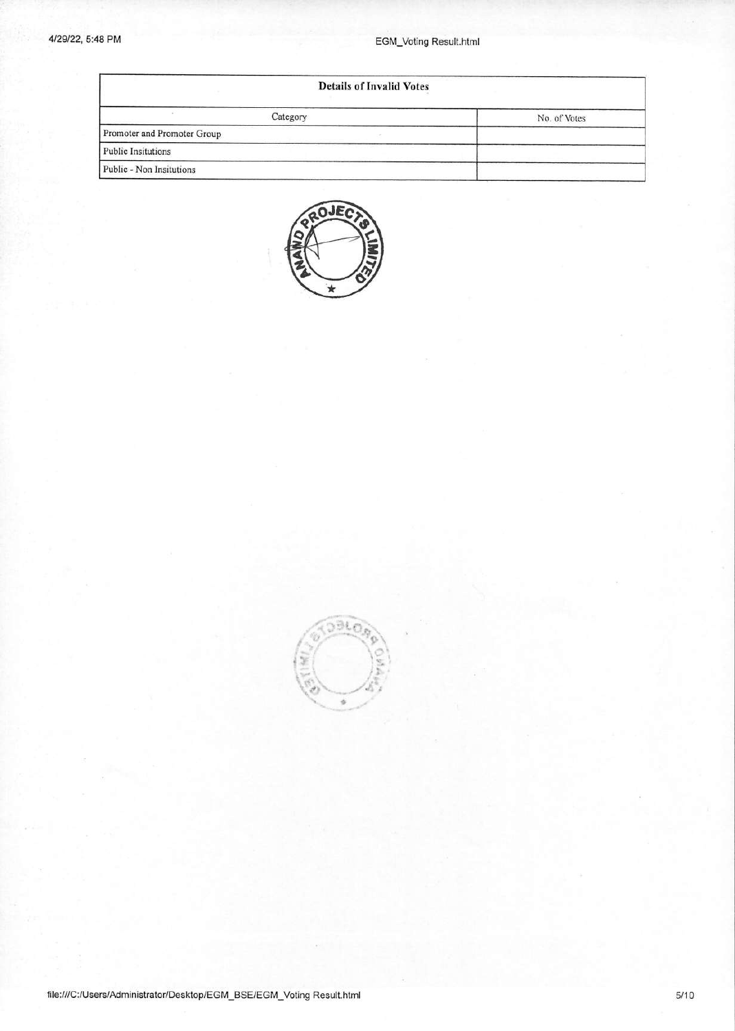## 4/29/22, 5:48 **PM** EGM\_Voting Result.html

| <b>Details of Invalid Votes</b> |              |  |  |  |
|---------------------------------|--------------|--|--|--|
| Category                        | No. of Votes |  |  |  |
| Promoter and Promoter Group     |              |  |  |  |
| <b>Public Insitutions</b>       |              |  |  |  |
| Public - Non Insitutions        |              |  |  |  |



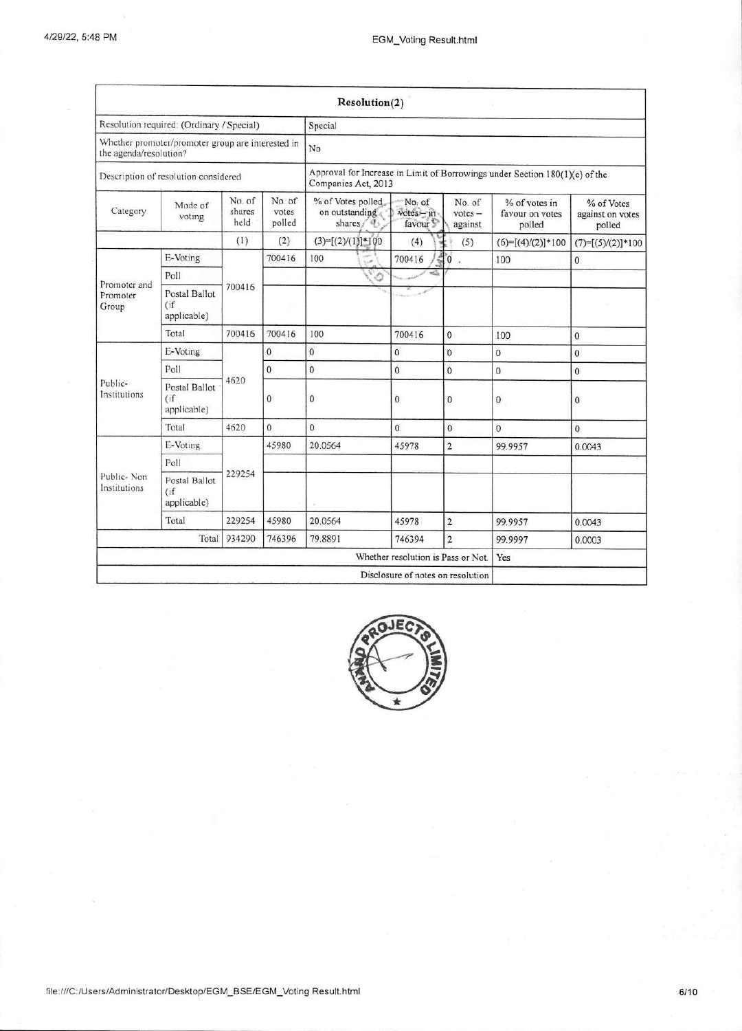|                                                                             |                                        |                          |                           | Resolution(2)                                                                                      |                                             |                                |                                            |                                          |  |
|-----------------------------------------------------------------------------|----------------------------------------|--------------------------|---------------------------|----------------------------------------------------------------------------------------------------|---------------------------------------------|--------------------------------|--------------------------------------------|------------------------------------------|--|
| Resolution required: (Ordinary / Special)                                   |                                        |                          | Special                   |                                                                                                    |                                             |                                |                                            |                                          |  |
| Whether promoter/promoter group are interested in<br>the agenda/resolution? |                                        | No                       |                           |                                                                                                    |                                             |                                |                                            |                                          |  |
| Description of resolution considered                                        |                                        |                          |                           | Approval for Increase in Limit of Borrowings under Section 180(1)(c) of the<br>Companies Act, 2013 |                                             |                                |                                            |                                          |  |
| Category                                                                    | Mode of<br>voting                      | No. of<br>shares<br>held | No. of<br>votes<br>polled | % of Votes polled<br>on outstanding<br>shares / 4                                                  | No. of<br>votes - in<br>favour <sup>1</sup> | No. of<br>$votes -$<br>against | % of votes in<br>favour on votes<br>polled | % of Votes<br>against on votes<br>polled |  |
|                                                                             |                                        | (1)                      | (2)                       | $(3)=[(2)/(1)]$ *100                                                                               | (4)                                         | (5)                            | $(6)=[(4)/(2)]*100$                        | $(7)=[(5)/(2)]*100$                      |  |
|                                                                             | E-Voting                               |                          | 700416                    | 100<br>i.e                                                                                         | 700416                                      | $\overline{0}$ .               | 100                                        | $\mathbf{0}$                             |  |
|                                                                             | Poll                                   |                          |                           | Ó                                                                                                  |                                             |                                |                                            |                                          |  |
| Promoter and<br>Promoter<br>Group                                           | Postal Ballot<br>(i)<br>applicable)    | 700416                   |                           |                                                                                                    |                                             |                                |                                            |                                          |  |
|                                                                             | Total                                  | 700416                   | 700416                    | 100                                                                                                | 700416                                      | $\bf{0}$                       | 100                                        | $\mathbf{0}$                             |  |
|                                                                             | E-Voting                               |                          | $\overline{0}$            | $\overline{0}$                                                                                     | $\overline{0}$                              | $\mathbf{0}$                   | $\mathbf{0}$                               | $\bf{0}$                                 |  |
| Public-<br>Institutions                                                     | Poll                                   | 4620                     | $\mathbf{0}$              | $\mathbf{0}$                                                                                       | $\mathbf{0}$                                | $\overline{0}$                 | $\mathbf{0}$                               | $\Omega$                                 |  |
|                                                                             | Postal Ballot<br>(i)<br>applicable)    |                          | 0                         | $\theta$                                                                                           | $\mathbf{0}$                                | $\mathbf{0}$                   | $\bf{0}$                                   | $\mathbf{0}$                             |  |
|                                                                             | Total                                  | 4620                     | $\theta$                  | $\overline{0}$                                                                                     | $\mathbf{0}$                                | $\overline{0}$                 | $\mathbf{0}$                               | $\mathbf{0}$                             |  |
|                                                                             | E-Voting                               |                          | 45980                     | 20.0564                                                                                            | 45978                                       | $\overline{\mathbf{c}}$        | 99.9957                                    | 0.0043                                   |  |
|                                                                             | Poll                                   |                          |                           |                                                                                                    |                                             |                                |                                            |                                          |  |
| Public-Non<br>Institutions                                                  | Postal Ballot<br>$($ if<br>applicable) | 229254                   |                           |                                                                                                    |                                             |                                |                                            |                                          |  |
|                                                                             | Total                                  | 229254                   | 45980                     | 20.0564                                                                                            | 45978                                       | 2                              | 99.9957                                    | 0.0043                                   |  |
| Total<br>934290<br>746396                                                   |                                        |                          | 79.8891                   | 746394                                                                                             | $\overline{2}$                              | 99.9997                        | 0.0003                                     |                                          |  |
|                                                                             |                                        |                          |                           |                                                                                                    | Whether resolution is Pass or Not.          |                                | Yes                                        |                                          |  |
|                                                                             |                                        |                          |                           |                                                                                                    | Disclosure of notes on resolution           |                                |                                            |                                          |  |

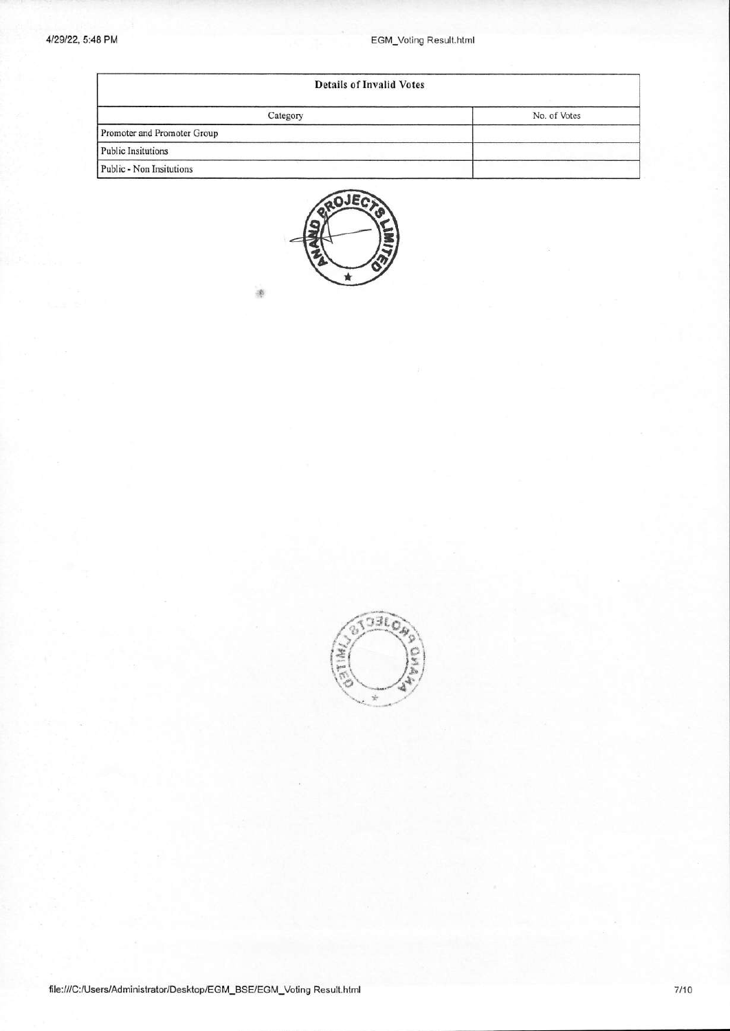| <b>Details of Invalid Votes</b> |              |  |  |  |
|---------------------------------|--------------|--|--|--|
| Category                        | No. of Votes |  |  |  |
| Promoter and Promoter Group     |              |  |  |  |
| <b>Public Insitutions</b>       |              |  |  |  |
| Public - Non Insitutions        |              |  |  |  |



98

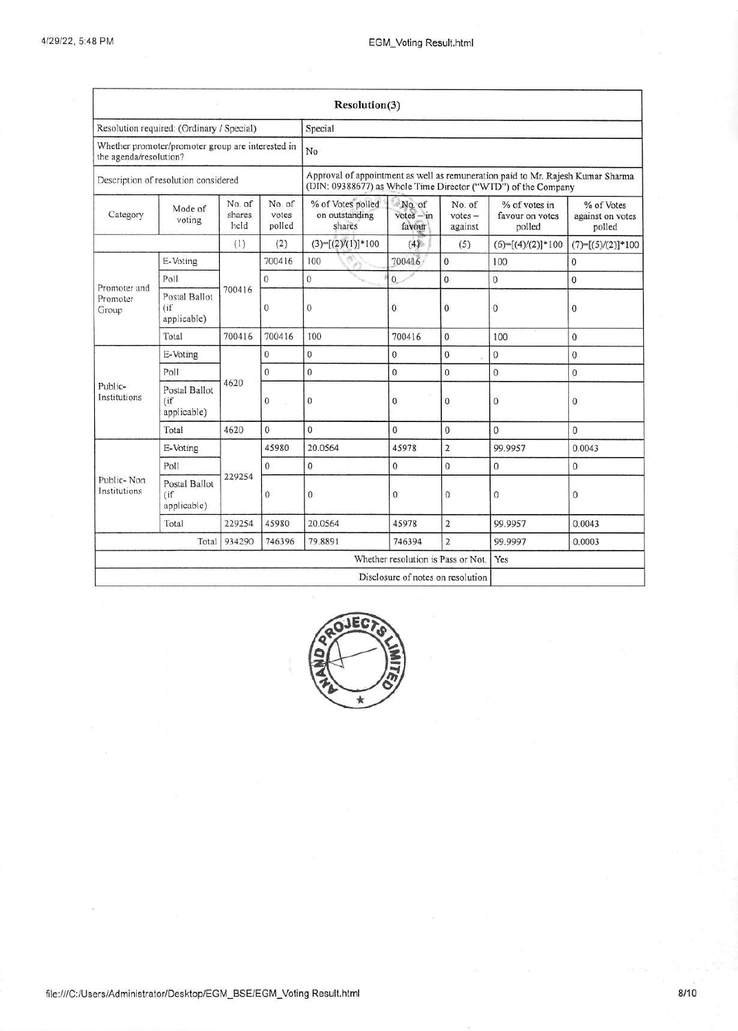|                                                                             |                                       |                          |                           | Resolution(3)                                                                                                                                    |                                    |                                |                                            |                                          |  |
|-----------------------------------------------------------------------------|---------------------------------------|--------------------------|---------------------------|--------------------------------------------------------------------------------------------------------------------------------------------------|------------------------------------|--------------------------------|--------------------------------------------|------------------------------------------|--|
| Resolution required: (Ordinary / Special)                                   |                                       |                          |                           | Special                                                                                                                                          |                                    |                                |                                            |                                          |  |
| Whether promoter/promoter group are interested in<br>the agenda/resolution? |                                       |                          | No                        |                                                                                                                                                  |                                    |                                |                                            |                                          |  |
| Description of resolution considered                                        |                                       |                          |                           | Approval of appointment as well as remuneration paid to Mr. Rajesh Kumar Sharma<br>(DIN: 09388677) as Whole Time Director ("WTD") of the Company |                                    |                                |                                            |                                          |  |
| Category                                                                    | Mode of<br>voting                     | No. of<br>shares<br>held | No. of<br>votes<br>polled | % of Votes polled<br>on outstanding<br>shares                                                                                                    | No. of<br>$votes - in$<br>favour   | No. of<br>$votes -$<br>against | % of votes in<br>favour on votes<br>polled | % of Votes<br>against on votes<br>polled |  |
|                                                                             |                                       | (1)                      | (2)                       | $(3)=[(2)/(1)]*100$                                                                                                                              | (4)                                | (5)                            | $(6)=[(4)/(2)]*100$                        | $(7)=[(5)/(2)]*100$                      |  |
| E-Voting                                                                    |                                       |                          | 700416                    | 100                                                                                                                                              | 700416                             | $\overline{0}$                 | 100                                        | $\mathbf{0}$                             |  |
|                                                                             | Poll                                  |                          | $\overline{0}$            | $\ddot{0}$                                                                                                                                       | $\overline{0}$                     | $\mathbf{0}$                   | $\mathbf{0}$                               | $\mathbf{0}$                             |  |
| Promoter and<br>Promoter<br>Group                                           | Postal Ballot<br>(if<br>applicable)   | 700416                   | $\mathbf 0$               | $\mathbf{0}$                                                                                                                                     | 0                                  | $\mathbf{0}$                   | $\bf{0}$                                   | $\overline{0}$                           |  |
|                                                                             | Total                                 | 700416                   | 700416                    | 100                                                                                                                                              | 700416                             | $\mathbf{0}$                   | 100                                        | $\overline{0}$                           |  |
|                                                                             | E-Voting                              |                          | 0                         | 0                                                                                                                                                | $\mathbf{0}$                       | 0                              | $\mathbf{0}$                               | $\mathbf{0}$                             |  |
| Public-<br>Institutions                                                     | Poll                                  |                          | $\theta$                  | $\overline{0}$                                                                                                                                   | $\mathbf{0}$                       | $\mathbf{0}$                   | $\mathbf{0}$                               | $\Omega$                                 |  |
|                                                                             | Postal Ballot<br>(if<br>applicable)   | 4620                     | $\mathbf{0}$              | 0                                                                                                                                                | $\mathbf{0}$                       | 0                              | $\mathbf{0}$                               | 0                                        |  |
|                                                                             | Total                                 | 4620                     | $\mathbf{0}$              | $\theta$                                                                                                                                         | $\overline{0}$                     | $\overline{0}$                 | $\overline{0}$                             | $\mathbf{0}$                             |  |
|                                                                             | E-Voting                              |                          | 45980                     | 20.0564                                                                                                                                          | 45978                              | $\overline{2}$                 | 99 9957                                    | 0.0043                                   |  |
|                                                                             | Poll                                  |                          | $\theta$                  | $\mathbf{0}$                                                                                                                                     | $\mathbf{0}$                       | $\mathbf{0}$                   | $\overline{0}$                             | $\overline{0}$                           |  |
| Public-Non<br>Institutions                                                  | Postal Ballot<br>(i f)<br>applicable) | 229254                   | $\mathbf{0}$              | $\theta$                                                                                                                                         | 0                                  | 0                              | $\mathbf{0}$                               | $\mathbf{0}$                             |  |
|                                                                             | Total                                 | 229254                   | 45980                     | 20.0564                                                                                                                                          | 45978                              | $\overline{2}$                 | 99.9957                                    | 0.0043                                   |  |
|                                                                             | Total                                 | 934290                   | 746396                    | 79,8891                                                                                                                                          | 746394                             | $\overline{2}$                 | 99.9997                                    | 0.0003                                   |  |
|                                                                             |                                       |                          |                           |                                                                                                                                                  | Whether resolution is Pass or Not. |                                | Yes                                        |                                          |  |
|                                                                             |                                       |                          |                           |                                                                                                                                                  | Disclosure of notes on resolution  |                                |                                            |                                          |  |

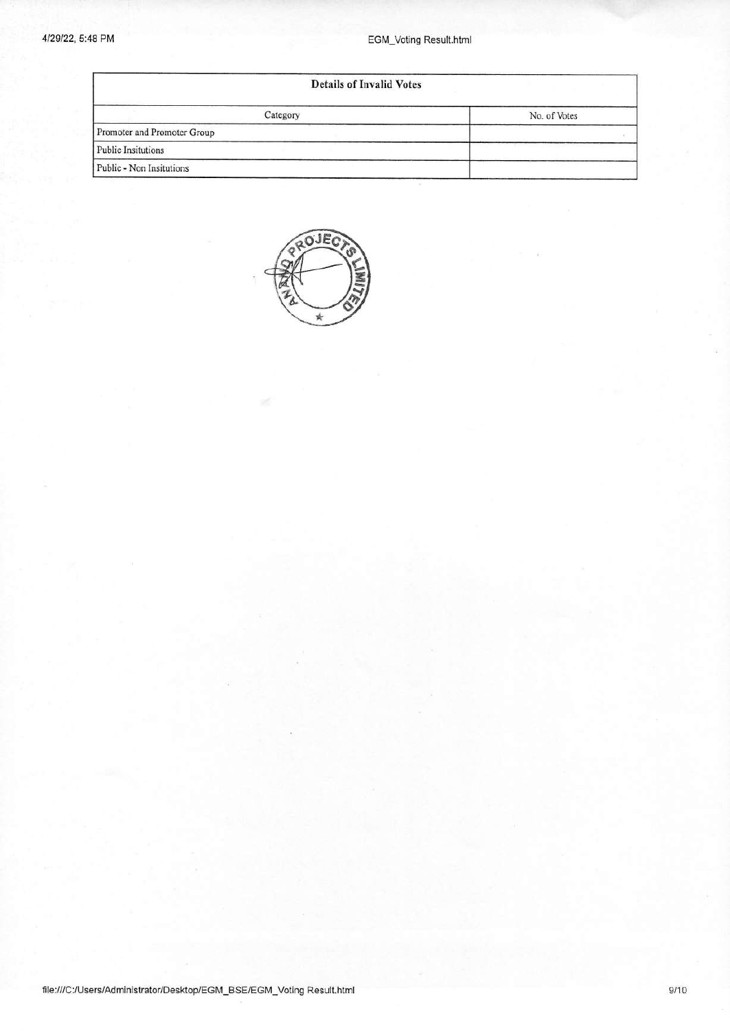## 4/29/22, 5:48 PM EGM\_Voting Result.html

| <b>Details of Invalid Votes</b> |              |  |  |  |
|---------------------------------|--------------|--|--|--|
| Category                        | No. of Votes |  |  |  |
| Promoter and Promoter Group     |              |  |  |  |
| Public Insitutions              |              |  |  |  |
| Public - Non Insitutions        |              |  |  |  |